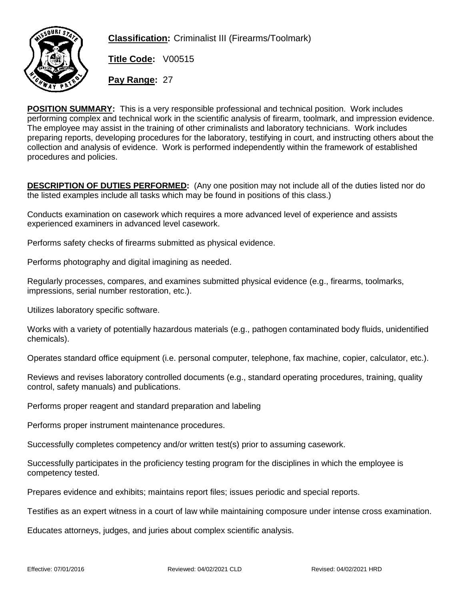

**Classification:** Criminalist III (Firearms/Toolmark)

**Title Code:** V00515

**Pay Range:** 27

POSITION SUMMARY: This is a very responsible professional and technical position. Work includes performing complex and technical work in the scientific analysis of firearm, toolmark, and impression evidence. The employee may assist in the training of other criminalists and laboratory technicians. Work includes preparing reports, developing procedures for the laboratory, testifying in court, and instructing others about the collection and analysis of evidence. Work is performed independently within the framework of established procedures and policies.

DESCRIPTION OF DUTIES PERFORMED: (Any one position may not include all of the duties listed nor do the listed examples include all tasks which may be found in positions of this class.)

Conducts examination on casework which requires a more advanced level of experience and assists experienced examiners in advanced level casework.

Performs safety checks of firearms submitted as physical evidence.

Performs photography and digital imagining as needed.

Regularly processes, compares, and examines submitted physical evidence (e.g., firearms, toolmarks, impressions, serial number restoration, etc.).

Utilizes laboratory specific software.

Works with a variety of potentially hazardous materials (e.g., pathogen contaminated body fluids, unidentified chemicals).

Operates standard office equipment (i.e. personal computer, telephone, fax machine, copier, calculator, etc.).

Reviews and revises laboratory controlled documents (e.g., standard operating procedures, training, quality control, safety manuals) and publications.

Performs proper reagent and standard preparation and labeling

Performs proper instrument maintenance procedures.

Successfully completes competency and/or written test(s) prior to assuming casework.

Successfully participates in the proficiency testing program for the disciplines in which the employee is competency tested.

Prepares evidence and exhibits; maintains report files; issues periodic and special reports.

Testifies as an expert witness in a court of law while maintaining composure under intense cross examination.

Educates attorneys, judges, and juries about complex scientific analysis.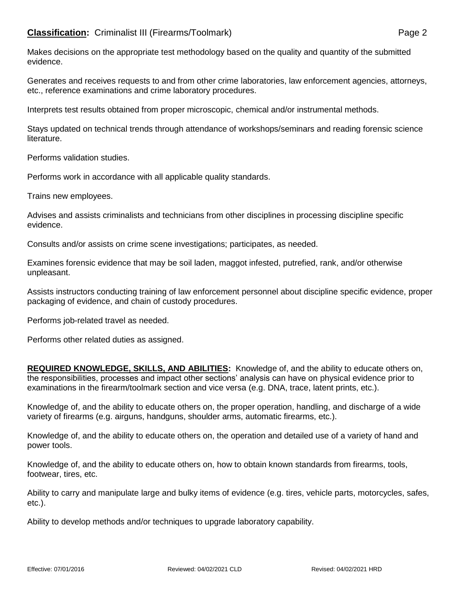Makes decisions on the appropriate test methodology based on the quality and quantity of the submitted evidence.

Generates and receives requests to and from other crime laboratories, law enforcement agencies, attorneys, etc., reference examinations and crime laboratory procedures.

Interprets test results obtained from proper microscopic, chemical and/or instrumental methods.

Stays updated on technical trends through attendance of workshops/seminars and reading forensic science literature.

Performs validation studies.

Performs work in accordance with all applicable quality standards.

Trains new employees.

Advises and assists criminalists and technicians from other disciplines in processing discipline specific evidence.

Consults and/or assists on crime scene investigations; participates, as needed.

Examines forensic evidence that may be soil laden, maggot infested, putrefied, rank, and/or otherwise unpleasant.

Assists instructors conducting training of law enforcement personnel about discipline specific evidence, proper packaging of evidence, and chain of custody procedures.

Performs job-related travel as needed.

Performs other related duties as assigned.

REQUIRED KNOWLEDGE, SKILLS, AND ABILITIES: Knowledge of, and the ability to educate others on, the responsibilities, processes and impact other sections' analysis can have on physical evidence prior to examinations in the firearm/toolmark section and vice versa (e.g. DNA, trace, latent prints, etc.).

Knowledge of, and the ability to educate others on, the proper operation, handling, and discharge of a wide variety of firearms (e.g. airguns, handguns, shoulder arms, automatic firearms, etc.).

Knowledge of, and the ability to educate others on, the operation and detailed use of a variety of hand and power tools.

Knowledge of, and the ability to educate others on, how to obtain known standards from firearms, tools, footwear, tires, etc.

Ability to carry and manipulate large and bulky items of evidence (e.g. tires, vehicle parts, motorcycles, safes, etc.).

Ability to develop methods and/or techniques to upgrade laboratory capability.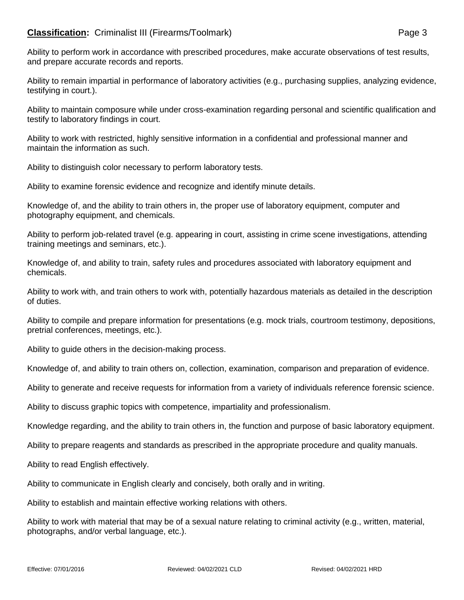## **Classification:** Criminalist III (Firearms/Toolmark) **Page 3**

Ability to remain impartial in performance of laboratory activities (e.g., purchasing supplies, analyzing evidence, testifying in court.).

Ability to maintain composure while under cross-examination regarding personal and scientific qualification and testify to laboratory findings in court.

Ability to work with restricted, highly sensitive information in a confidential and professional manner and maintain the information as such.

Ability to distinguish color necessary to perform laboratory tests.

Ability to examine forensic evidence and recognize and identify minute details.

Knowledge of, and the ability to train others in, the proper use of laboratory equipment, computer and photography equipment, and chemicals.

Ability to perform job-related travel (e.g. appearing in court, assisting in crime scene investigations, attending training meetings and seminars, etc.).

Knowledge of, and ability to train, safety rules and procedures associated with laboratory equipment and chemicals.

Ability to work with, and train others to work with, potentially hazardous materials as detailed in the description of duties.

Ability to compile and prepare information for presentations (e.g. mock trials, courtroom testimony, depositions, pretrial conferences, meetings, etc.).

Ability to guide others in the decision-making process.

Knowledge of, and ability to train others on, collection, examination, comparison and preparation of evidence.

Ability to generate and receive requests for information from a variety of individuals reference forensic science.

Ability to discuss graphic topics with competence, impartiality and professionalism.

Knowledge regarding, and the ability to train others in, the function and purpose of basic laboratory equipment.

Ability to prepare reagents and standards as prescribed in the appropriate procedure and quality manuals.

Ability to read English effectively.

Ability to communicate in English clearly and concisely, both orally and in writing.

Ability to establish and maintain effective working relations with others.

Ability to work with material that may be of a sexual nature relating to criminal activity (e.g., written, material, photographs, and/or verbal language, etc.).